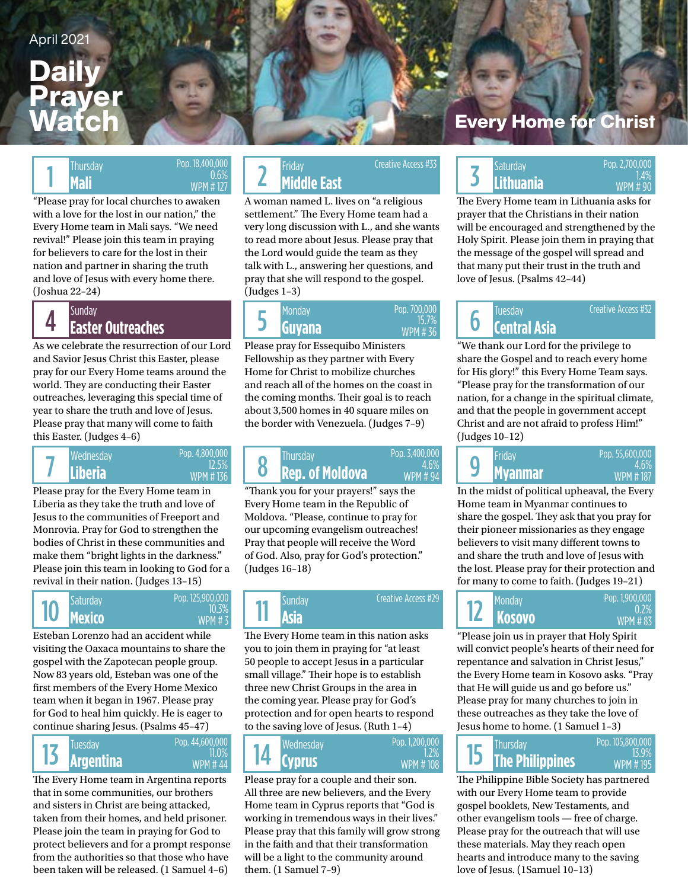### **Daily** Prayer Watch

Pop. 18,400,000 WPM # 127

0.6%

"Please pray for local churches to awaken with a love for the lost in our nation," the Every Home team in Mali says. "We need revival!" Please join this team in praying for believers to care for the lost in their nation and partner in sharing the truth and love of Jesus with every home there. (Joshua 22–24)

# 4

As we celebrate the resurrection of our Lord and Savior Jesus Christ this Easter, please pray for our Every Home teams around the world. They are conducting their Easter outreaches, leveraging this special time of year to share the truth and love of Jesus. Please pray that many will come to faith this Easter. (Judges 4–6)



Please pray for the Every Home team in Liberia as they take the truth and love of Jesus to the communities of Freeport and Monrovia. Pray for God to strengthen the bodies of Christ in these communities and make them "bright lights in the darkness." Please join this team in looking to God for a revival in their nation. (Judges 13–15)



Esteban Lorenzo had an accident while visiting the Oaxaca mountains to share the gospel with the Zapotecan people group. Now 83 years old, Esteban was one of the first members of the Every Home Mexico team when it began in 1967. Please pray for God to heal him quickly. He is eager to continue sharing Jesus. (Psalms 45–47)



The Every Home team in Argentina reports that in some communities, our brothers and sisters in Christ are being attacked, taken from their homes, and held prisoner. Please join the team in praying for God to protect believers and for a prompt response from the authorities so that those who have been taken will be released. (1 Samuel 4–6)

#### Thursday **CONCRETE: 0.400,000**<br>Mali 3000 WPM #127 **2 Middle East Middle East** Thursday Friday Saturday Creative Access #33 Thursday Pop. 18,400,000 Pop. 18,400,000 Friday Creative Access #33<br>1.4% Wendel 2 Middle East Middle East Nickel S Lithuania WPM # 90

A woman named L. lives on "a religious settlement." The Every Home team had a very long discussion with L., and she wants to read more about Jesus. Please pray that the Lord would guide the team as they talk with L., answering her questions, and pray that she will respond to the gospel. (Judges 1–3)



Please pray for Essequibo Ministers Fellowship as they partner with Every Home for Christ to mobilize churches and reach all of the homes on the coast in the coming months. Their goal is to reach about 3,500 homes in 40 square miles on the border with Venezuela. (Judges 7–9)

#### **Liberia Rep. of Moldova Myanmar Rep. of Moldova Myanmar** Wednesday Pop. 4,800,000 Register Mursday Pop. 3,400,000 Register Friday 8 Pop. 3,400,000 4.6% WPM # 94

"Thank you for your prayers!" says the Every Home team in the Republic of Moldova. "Please, continue to pray for our upcoming evangelism outreaches! Pray that people will receive the Word of God. Also, pray for God's protection." (Judges 16–18)



The Every Home team in this nation asks you to join them in praying for "at least 50 people to accept Jesus in a particular small village." Their hope is to establish three new Christ Groups in the area in the coming year. Please pray for God's protection and for open hearts to respond to the saving love of Jesus. (Ruth 1–4)

**Cyprus The Philippines** Tuesday Wednesday Thursday 14 Pop. 1,200,000 1.2% WPM # 108

Please pray for a couple and their son. All three are new believers, and the Every Home team in Cyprus reports that "God is working in tremendous ways in their lives." Please pray that this family will grow strong in the faith and that their transformation will be a light to the community around them. (1 Samuel 7–9)

### **Every Home for Christ**

# 3 1.4% **Lithuania**

 $WPM \# 90$ 

Creative Access #32

The Every Home team in Lithuania asks for prayer that the Christians in their nation will be encouraged and strengthened by the Holy Spirit. Please join them in praying that the message of the gospel will spread and that many put their trust in the truth and love of Jesus. (Psalms 42–44)

# 6

"We thank our Lord for the privilege to share the Gospel and to reach every home for His glory!" this Every Home Team says. "Please pray for the transformation of our nation, for a change in the spiritual climate, and that the people in government accept

(Judges 10–12) 9 Pop. 55,600,000 WPM # 187 4.6%

Christ and are not afraid to profess Him!"

In the midst of political upheaval, the Every Home team in Myanmar continues to share the gospel. They ask that you pray for their pioneer missionaries as they engage believers to visit many different towns to and share the truth and love of Jesus with the lost. Please pray for their protection and for many to come to faith. (Judges 19–21)

| <b>Monday</b><br><b>IZ KOSOVO</b> | Pop. 1,900,000<br>$0.7\%$<br><b>WPM#83</b> |
|-----------------------------------|--------------------------------------------|
|-----------------------------------|--------------------------------------------|

"Please join us in prayer that Holy Spirit will convict people's hearts of their need for repentance and salvation in Christ Jesus," the Every Home team in Kosovo asks. "Pray that He will guide us and go before us." Please pray for many churches to join in these outreaches as they take the love of Jesus home to home. (1 Samuel 1–3)



The Philippine Bible Society has partnered with our Every Home team to provide gospel booklets, New Testaments, and other evangelism tools — free of charge. Please pray for the outreach that will use these materials. May they reach open hearts and introduce many to the saving love of Jesus. (1Samuel 10–13)